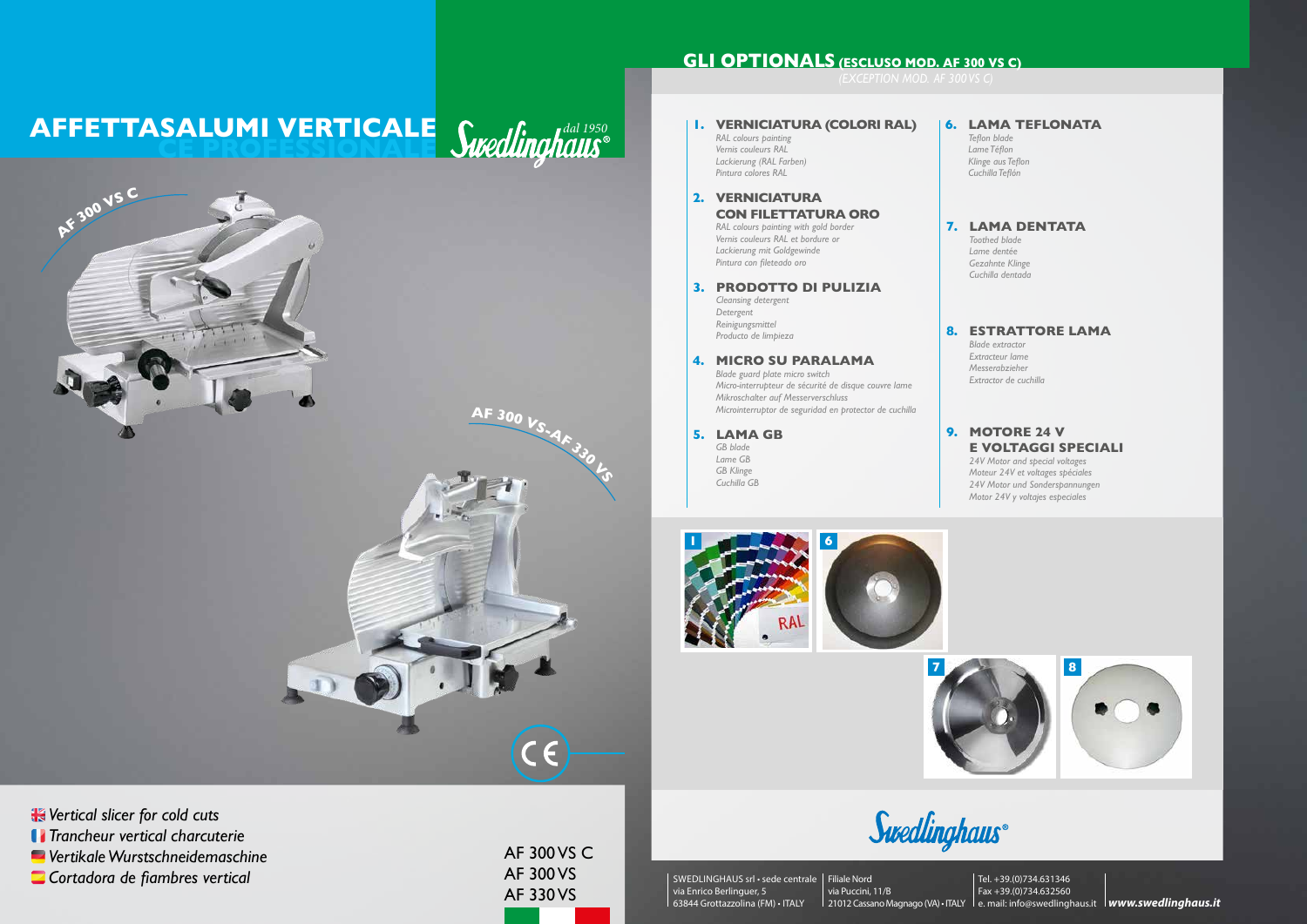SWEDLINGHAUS srl • sede centrale Filiale Nord via Enrico Berlinguer, 5 63844 Grottazzolina (FM) • ITALY

# **AFFETTASALUMI VERTICALE** *Cuodlinghaus* **CE PROFESSIONALE**

via Puccini, 11/B 21012 Cassano Magnago (VA) • ITALY le. mail: info@swedlinghaus.it **lwww.swedlinghaus.it** Tel. +39.(0)734.631346 Fax +39.(0)734.632560



AF 300 VS C AF 300 VS AF 330 VS

*Vertical slicer for cold cuts Trancheur vertical charcuterie Vertikale Wurstschneidemaschine Cortadora de fiambres vertical*

## **GLI OPTIONALS (ESCLUSO MOD. AF 300 VS C)**

### **9TORE 24 V E VOLTAGGI SPECIALI**







#### **6. LAMA TEFLONATA**

*Teflon blade Lame Téflon Klinge aus Teflon Cuchilla Teflón*

### **7. LAMA DENTATA**

*Toothed blade Lame dentée Gezahnte Klinge Cuchilla dentada*

#### **STRATTORE LAMA**

*Blade extractor Extracteur lame Messerabzieher Extractor de cuchilla*

|    | I. VERNICIATURA (COLORI RAL)<br>RAL colours painting<br>Vernis couleurs RAL<br>Lackierung (RAL Farben)<br>Pintura colores RAL                                                                                      | 6. | LA<br>Teflo<br>Lam<br>Klin,<br>Cuc   |
|----|--------------------------------------------------------------------------------------------------------------------------------------------------------------------------------------------------------------------|----|--------------------------------------|
| 2. | <b>VERNICIATURA</b><br><b>CON FILETTATURA ORO</b><br>RAL colours painting with gold border<br>Vernis couleurs RAL et bordure or<br>Lackierung mit Goldgewinde<br>Pintura con fileteado oro                         | 7. | ┖<br>Too<br>Lan<br>Gez<br>Cuc        |
| 3. | <b>PRODOTTO DI PULIZIA</b><br>Cleansing detergent<br>Detergent<br>Reinigungsmittel<br>Producto de limpieza                                                                                                         | 8. | ES<br>Blac                           |
| 4. | <b>MICRO SU PARALAMA</b><br>Blade guard plate micro switch<br>Micro-interrupteur de sécurité de disque couvre lame<br>Mikroschalter auf Messerverschluss<br>Microinterruptor de seguridad en protector de cuchilla |    | Exti<br>Me:<br>Exti                  |
| 5. | <b>LAMA GB</b><br>GB blade<br>Lame GB<br><b>GB</b> Klinge<br>Cuchilla GB                                                                                                                                           | 9. | M<br>E '<br>74V<br>Mot<br>24V<br>Mot |

*24V Motor and special voltages Moteur 24V et voltages spéciales 24V Motor und Sonderspannungen Motor 24V y voltajes especiales*





**<sup>A</sup><sup>F</sup> <sup>3</sup>0<sup>0</sup> <sup>V</sup>S-A<sup>F</sup> <sup>3</sup>3<sup>0</sup> <sup>V</sup><sup>S</sup>**